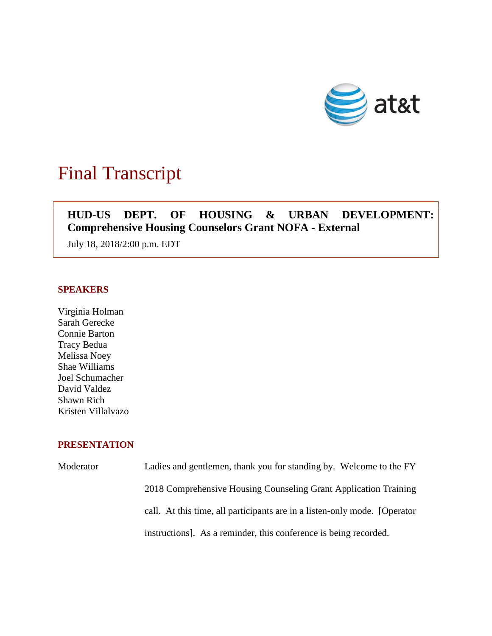

# Final Transcript

# **HUD-US DEPT. OF HOUSING & URBAN DEVELOPMENT: Comprehensive Housing Counselors Grant NOFA - External**

July 18, 2018/2:00 p.m. EDT

### **SPEAKERS**

Virginia Holman Sarah Gerecke Connie Barton Tracy Bedua Melissa Noey Shae Williams Joel Schumacher David Valdez Shawn Rich Kristen Villalvazo

## **PRESENTATION**

Moderator Ladies and gentlemen, thank you for standing by. Welcome to the FY 2018 Comprehensive Housing Counseling Grant Application Training call. At this time, all participants are in a listen-only mode. [Operator instructions]. As a reminder, this conference is being recorded.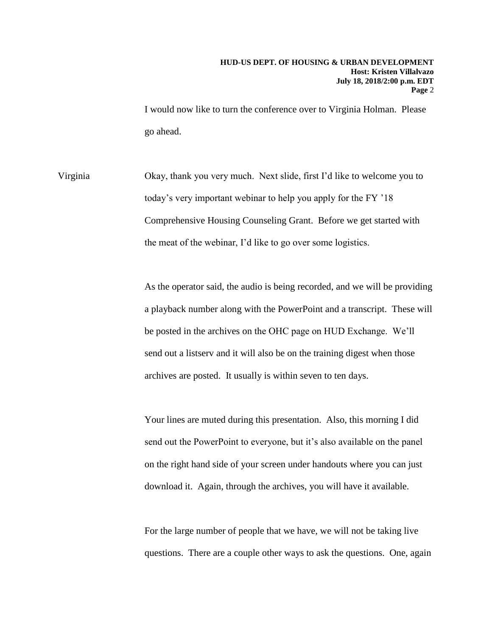I would now like to turn the conference over to Virginia Holman. Please go ahead.

Virginia Okay, thank you very much. Next slide, first I'd like to welcome you to today's very important webinar to help you apply for the FY '18 Comprehensive Housing Counseling Grant. Before we get started with the meat of the webinar, I'd like to go over some logistics.

> As the operator said, the audio is being recorded, and we will be providing a playback number along with the PowerPoint and a transcript. These will be posted in the archives on the OHC page on HUD Exchange. We'll send out a listserv and it will also be on the training digest when those archives are posted. It usually is within seven to ten days.

Your lines are muted during this presentation. Also, this morning I did send out the PowerPoint to everyone, but it's also available on the panel on the right hand side of your screen under handouts where you can just download it. Again, through the archives, you will have it available.

For the large number of people that we have, we will not be taking live questions. There are a couple other ways to ask the questions. One, again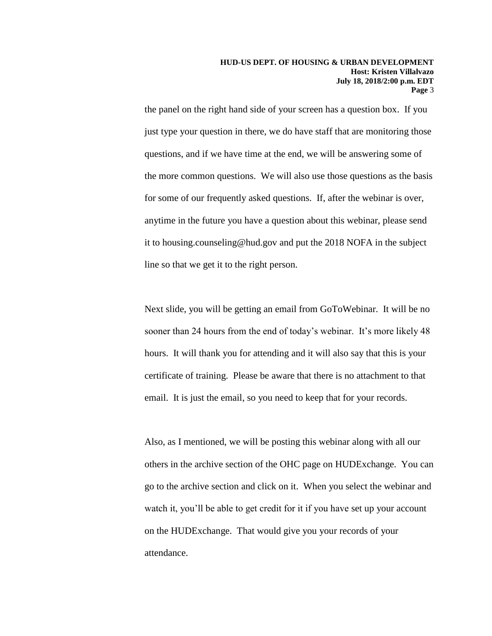the panel on the right hand side of your screen has a question box. If you just type your question in there, we do have staff that are monitoring those questions, and if we have time at the end, we will be answering some of the more common questions. We will also use those questions as the basis for some of our frequently asked questions. If, after the webinar is over, anytime in the future you have a question about this webinar, please send it to housing.counseling@hud.gov and put the 2018 NOFA in the subject line so that we get it to the right person.

Next slide, you will be getting an email from GoToWebinar. It will be no sooner than 24 hours from the end of today's webinar. It's more likely 48 hours. It will thank you for attending and it will also say that this is your certificate of training. Please be aware that there is no attachment to that email. It is just the email, so you need to keep that for your records.

Also, as I mentioned, we will be posting this webinar along with all our others in the archive section of the OHC page on HUDExchange. You can go to the archive section and click on it. When you select the webinar and watch it, you'll be able to get credit for it if you have set up your account on the HUDExchange. That would give you your records of your attendance.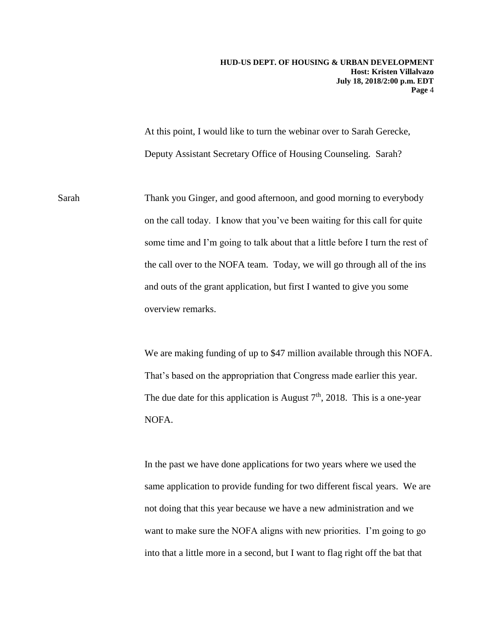At this point, I would like to turn the webinar over to Sarah Gerecke, Deputy Assistant Secretary Office of Housing Counseling. Sarah?

Sarah Thank you Ginger, and good afternoon, and good morning to everybody on the call today. I know that you've been waiting for this call for quite some time and I'm going to talk about that a little before I turn the rest of the call over to the NOFA team. Today, we will go through all of the ins and outs of the grant application, but first I wanted to give you some overview remarks.

> We are making funding of up to \$47 million available through this NOFA. That's based on the appropriation that Congress made earlier this year. The due date for this application is August  $7<sup>th</sup>$ , 2018. This is a one-year NOFA.

> In the past we have done applications for two years where we used the same application to provide funding for two different fiscal years. We are not doing that this year because we have a new administration and we want to make sure the NOFA aligns with new priorities. I'm going to go into that a little more in a second, but I want to flag right off the bat that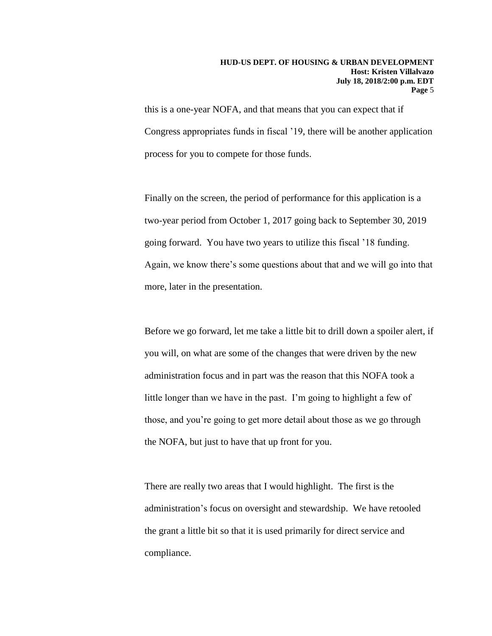this is a one-year NOFA, and that means that you can expect that if Congress appropriates funds in fiscal '19, there will be another application process for you to compete for those funds.

Finally on the screen, the period of performance for this application is a two-year period from October 1, 2017 going back to September 30, 2019 going forward. You have two years to utilize this fiscal '18 funding. Again, we know there's some questions about that and we will go into that more, later in the presentation.

Before we go forward, let me take a little bit to drill down a spoiler alert, if you will, on what are some of the changes that were driven by the new administration focus and in part was the reason that this NOFA took a little longer than we have in the past. I'm going to highlight a few of those, and you're going to get more detail about those as we go through the NOFA, but just to have that up front for you.

There are really two areas that I would highlight. The first is the administration's focus on oversight and stewardship. We have retooled the grant a little bit so that it is used primarily for direct service and compliance.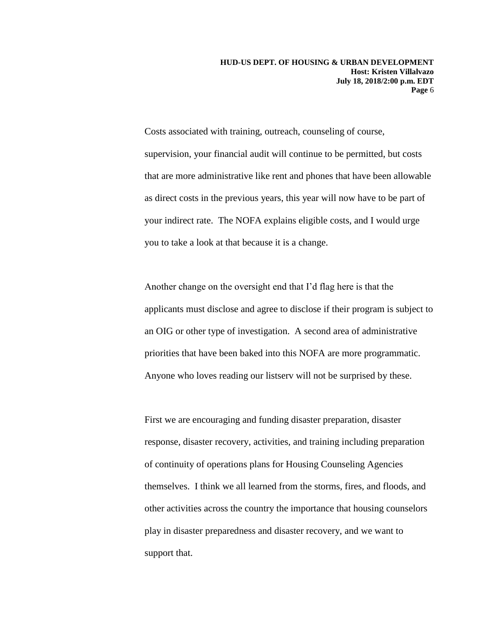Costs associated with training, outreach, counseling of course, supervision, your financial audit will continue to be permitted, but costs that are more administrative like rent and phones that have been allowable as direct costs in the previous years, this year will now have to be part of your indirect rate. The NOFA explains eligible costs, and I would urge you to take a look at that because it is a change.

Another change on the oversight end that I'd flag here is that the applicants must disclose and agree to disclose if their program is subject to an OIG or other type of investigation. A second area of administrative priorities that have been baked into this NOFA are more programmatic. Anyone who loves reading our listserv will not be surprised by these.

First we are encouraging and funding disaster preparation, disaster response, disaster recovery, activities, and training including preparation of continuity of operations plans for Housing Counseling Agencies themselves. I think we all learned from the storms, fires, and floods, and other activities across the country the importance that housing counselors play in disaster preparedness and disaster recovery, and we want to support that.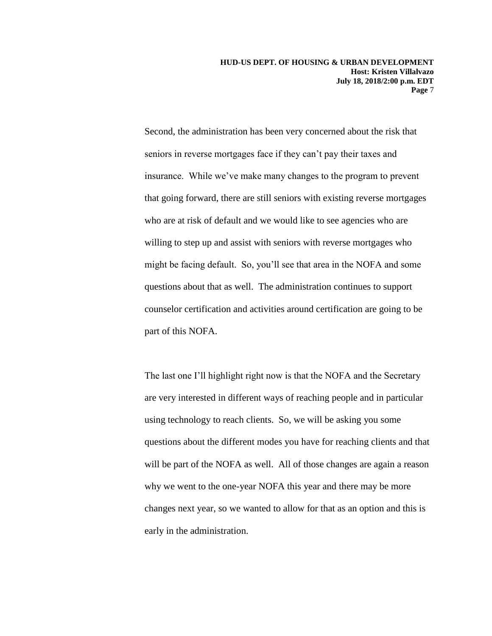**HUD-US DEPT. OF HOUSING & URBAN DEVELOPMENT Host: Kristen Villalvazo July 18, 2018/2:00 p.m. EDT Page** 7

Second, the administration has been very concerned about the risk that seniors in reverse mortgages face if they can't pay their taxes and insurance. While we've make many changes to the program to prevent that going forward, there are still seniors with existing reverse mortgages who are at risk of default and we would like to see agencies who are willing to step up and assist with seniors with reverse mortgages who might be facing default. So, you'll see that area in the NOFA and some questions about that as well. The administration continues to support counselor certification and activities around certification are going to be part of this NOFA.

The last one I'll highlight right now is that the NOFA and the Secretary are very interested in different ways of reaching people and in particular using technology to reach clients. So, we will be asking you some questions about the different modes you have for reaching clients and that will be part of the NOFA as well. All of those changes are again a reason why we went to the one-year NOFA this year and there may be more changes next year, so we wanted to allow for that as an option and this is early in the administration.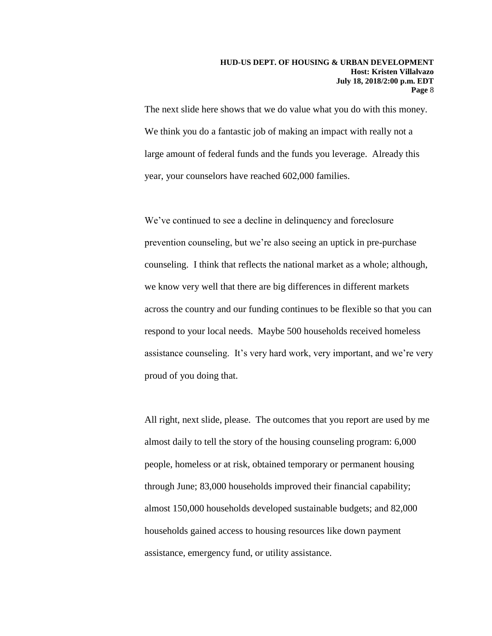The next slide here shows that we do value what you do with this money. We think you do a fantastic job of making an impact with really not a large amount of federal funds and the funds you leverage. Already this year, your counselors have reached 602,000 families.

We've continued to see a decline in delinquency and foreclosure prevention counseling, but we're also seeing an uptick in pre-purchase counseling. I think that reflects the national market as a whole; although, we know very well that there are big differences in different markets across the country and our funding continues to be flexible so that you can respond to your local needs. Maybe 500 households received homeless assistance counseling. It's very hard work, very important, and we're very proud of you doing that.

All right, next slide, please. The outcomes that you report are used by me almost daily to tell the story of the housing counseling program: 6,000 people, homeless or at risk, obtained temporary or permanent housing through June; 83,000 households improved their financial capability; almost 150,000 households developed sustainable budgets; and 82,000 households gained access to housing resources like down payment assistance, emergency fund, or utility assistance.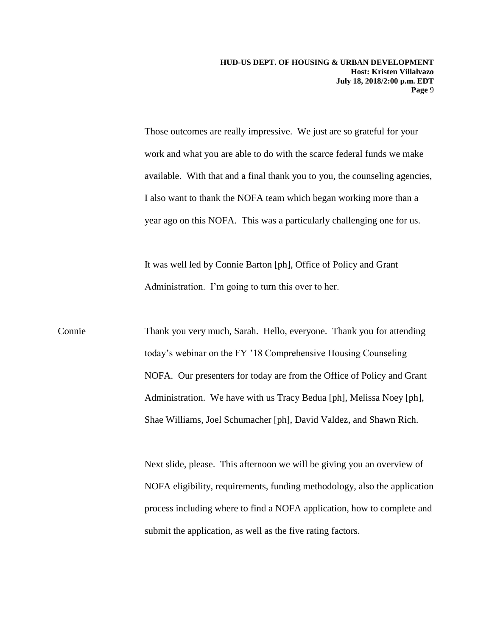**HUD-US DEPT. OF HOUSING & URBAN DEVELOPMENT Host: Kristen Villalvazo July 18, 2018/2:00 p.m. EDT Page** 9

Those outcomes are really impressive. We just are so grateful for your work and what you are able to do with the scarce federal funds we make available. With that and a final thank you to you, the counseling agencies, I also want to thank the NOFA team which began working more than a year ago on this NOFA. This was a particularly challenging one for us.

It was well led by Connie Barton [ph], Office of Policy and Grant Administration. I'm going to turn this over to her.

Connie Thank you very much, Sarah. Hello, everyone. Thank you for attending today's webinar on the FY '18 Comprehensive Housing Counseling NOFA. Our presenters for today are from the Office of Policy and Grant Administration. We have with us Tracy Bedua [ph], Melissa Noey [ph], Shae Williams, Joel Schumacher [ph], David Valdez, and Shawn Rich.

> Next slide, please. This afternoon we will be giving you an overview of NOFA eligibility, requirements, funding methodology, also the application process including where to find a NOFA application, how to complete and submit the application, as well as the five rating factors.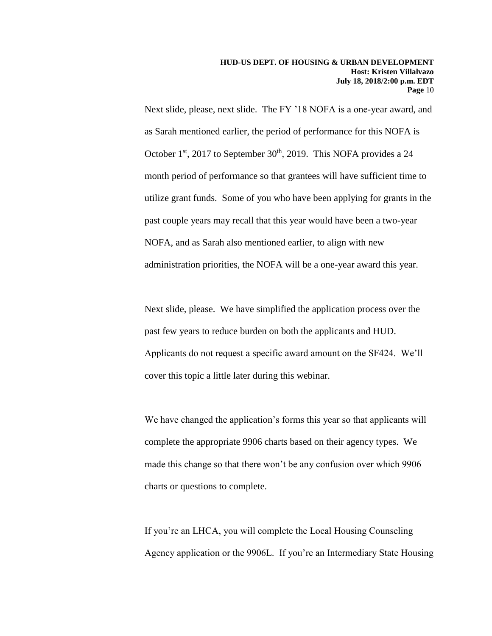Next slide, please, next slide. The FY '18 NOFA is a one-year award, and as Sarah mentioned earlier, the period of performance for this NOFA is October  $1<sup>st</sup>$ , 2017 to September 30<sup>th</sup>, 2019. This NOFA provides a 24 month period of performance so that grantees will have sufficient time to utilize grant funds. Some of you who have been applying for grants in the past couple years may recall that this year would have been a two-year NOFA, and as Sarah also mentioned earlier, to align with new administration priorities, the NOFA will be a one-year award this year.

Next slide, please. We have simplified the application process over the past few years to reduce burden on both the applicants and HUD. Applicants do not request a specific award amount on the SF424. We'll cover this topic a little later during this webinar.

We have changed the application's forms this year so that applicants will complete the appropriate 9906 charts based on their agency types. We made this change so that there won't be any confusion over which 9906 charts or questions to complete.

If you're an LHCA, you will complete the Local Housing Counseling Agency application or the 9906L. If you're an Intermediary State Housing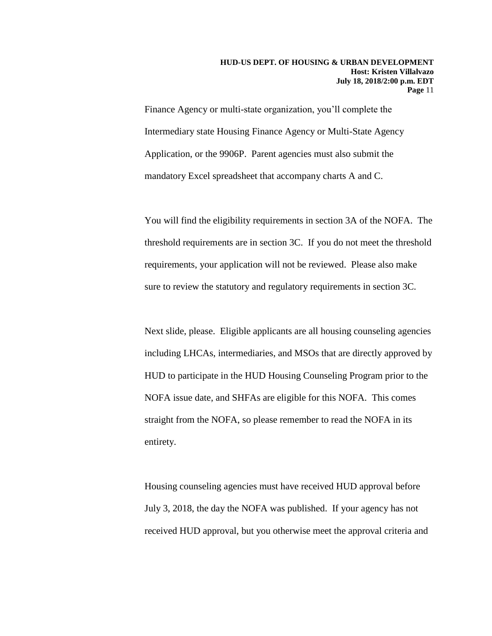Finance Agency or multi-state organization, you'll complete the Intermediary state Housing Finance Agency or Multi-State Agency Application, or the 9906P. Parent agencies must also submit the mandatory Excel spreadsheet that accompany charts A and C.

You will find the eligibility requirements in section 3A of the NOFA. The threshold requirements are in section 3C. If you do not meet the threshold requirements, your application will not be reviewed. Please also make sure to review the statutory and regulatory requirements in section 3C.

Next slide, please. Eligible applicants are all housing counseling agencies including LHCAs, intermediaries, and MSOs that are directly approved by HUD to participate in the HUD Housing Counseling Program prior to the NOFA issue date, and SHFAs are eligible for this NOFA. This comes straight from the NOFA, so please remember to read the NOFA in its entirety.

Housing counseling agencies must have received HUD approval before July 3, 2018, the day the NOFA was published. If your agency has not received HUD approval, but you otherwise meet the approval criteria and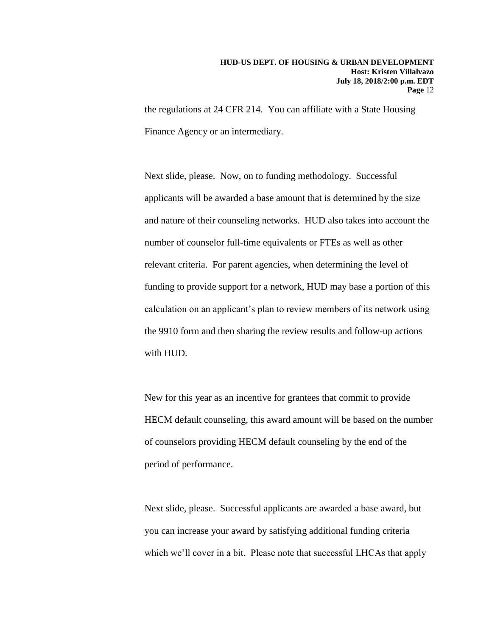the regulations at 24 CFR 214. You can affiliate with a State Housing Finance Agency or an intermediary.

Next slide, please. Now, on to funding methodology. Successful applicants will be awarded a base amount that is determined by the size and nature of their counseling networks. HUD also takes into account the number of counselor full-time equivalents or FTEs as well as other relevant criteria. For parent agencies, when determining the level of funding to provide support for a network, HUD may base a portion of this calculation on an applicant's plan to review members of its network using the 9910 form and then sharing the review results and follow-up actions with HUD.

New for this year as an incentive for grantees that commit to provide HECM default counseling, this award amount will be based on the number of counselors providing HECM default counseling by the end of the period of performance.

Next slide, please. Successful applicants are awarded a base award, but you can increase your award by satisfying additional funding criteria which we'll cover in a bit. Please note that successful LHCAs that apply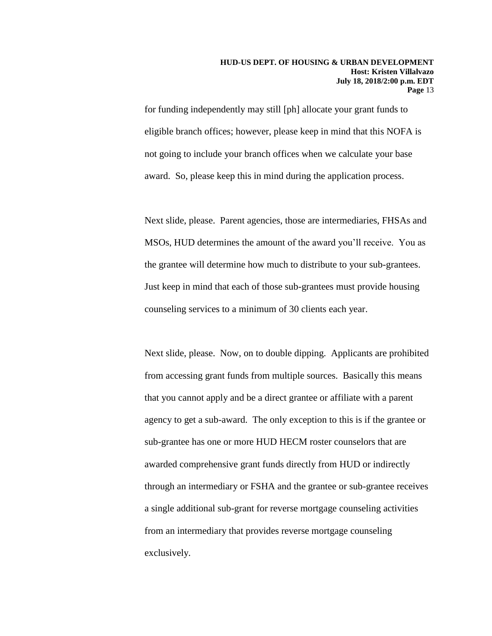for funding independently may still [ph] allocate your grant funds to eligible branch offices; however, please keep in mind that this NOFA is not going to include your branch offices when we calculate your base award. So, please keep this in mind during the application process.

Next slide, please. Parent agencies, those are intermediaries, FHSAs and MSOs, HUD determines the amount of the award you'll receive. You as the grantee will determine how much to distribute to your sub-grantees. Just keep in mind that each of those sub-grantees must provide housing counseling services to a minimum of 30 clients each year.

Next slide, please. Now, on to double dipping. Applicants are prohibited from accessing grant funds from multiple sources. Basically this means that you cannot apply and be a direct grantee or affiliate with a parent agency to get a sub-award. The only exception to this is if the grantee or sub-grantee has one or more HUD HECM roster counselors that are awarded comprehensive grant funds directly from HUD or indirectly through an intermediary or FSHA and the grantee or sub-grantee receives a single additional sub-grant for reverse mortgage counseling activities from an intermediary that provides reverse mortgage counseling exclusively.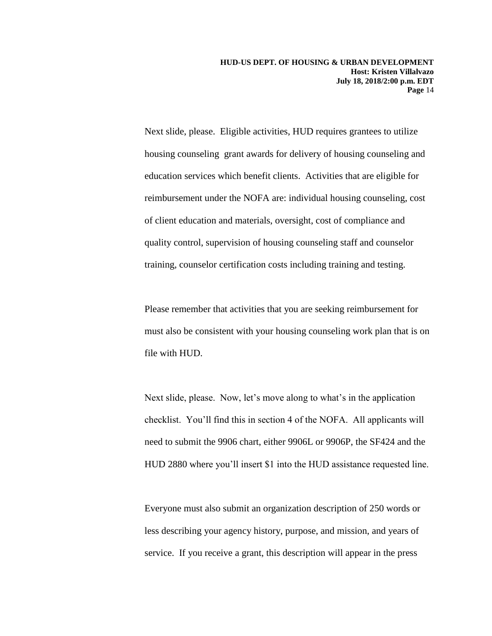**HUD-US DEPT. OF HOUSING & URBAN DEVELOPMENT Host: Kristen Villalvazo July 18, 2018/2:00 p.m. EDT Page** 14

Next slide, please. Eligible activities, HUD requires grantees to utilize housing counseling grant awards for delivery of housing counseling and education services which benefit clients. Activities that are eligible for reimbursement under the NOFA are: individual housing counseling, cost of client education and materials, oversight, cost of compliance and quality control, supervision of housing counseling staff and counselor training, counselor certification costs including training and testing.

Please remember that activities that you are seeking reimbursement for must also be consistent with your housing counseling work plan that is on file with HUD.

Next slide, please. Now, let's move along to what's in the application checklist. You'll find this in section 4 of the NOFA. All applicants will need to submit the 9906 chart, either 9906L or 9906P, the SF424 and the HUD 2880 where you'll insert \$1 into the HUD assistance requested line.

Everyone must also submit an organization description of 250 words or less describing your agency history, purpose, and mission, and years of service. If you receive a grant, this description will appear in the press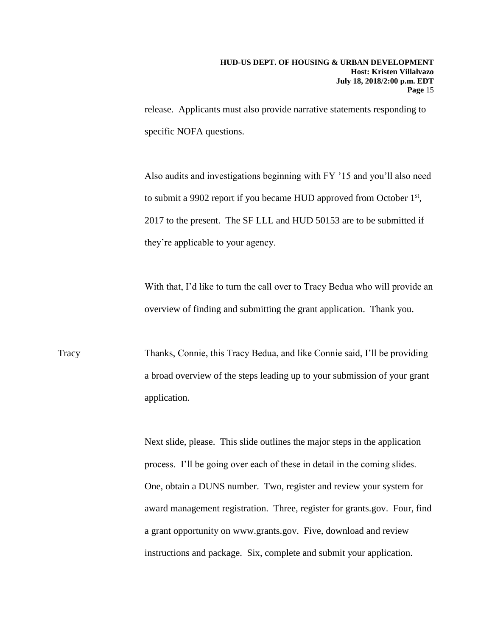release. Applicants must also provide narrative statements responding to specific NOFA questions.

Also audits and investigations beginning with FY '15 and you'll also need to submit a 9902 report if you became HUD approved from October  $1<sup>st</sup>$ , 2017 to the present. The SF LLL and HUD 50153 are to be submitted if they're applicable to your agency.

With that, I'd like to turn the call over to Tracy Bedua who will provide an overview of finding and submitting the grant application. Thank you.

Tracy Thanks, Connie, this Tracy Bedua, and like Connie said, I'll be providing a broad overview of the steps leading up to your submission of your grant application.

> Next slide, please. This slide outlines the major steps in the application process. I'll be going over each of these in detail in the coming slides. One, obtain a DUNS number. Two, register and review your system for award management registration. Three, register for grants.gov. Four, find a grant opportunity on www.grants.gov. Five, download and review instructions and package. Six, complete and submit your application.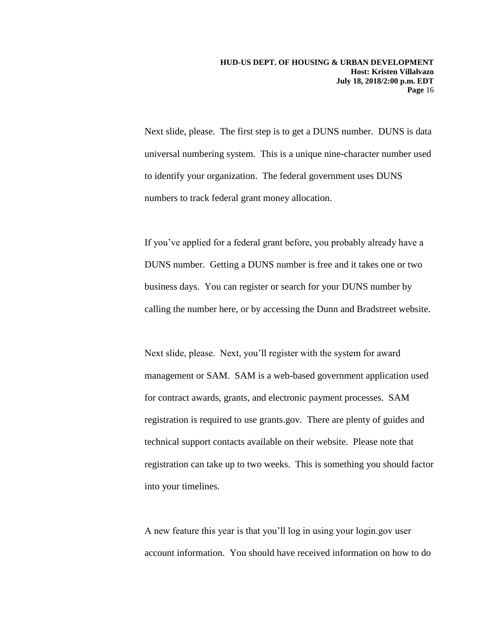Next slide, please. The first step is to get a DUNS number. DUNS is data universal numbering system. This is a unique nine-character number used to identify your organization. The federal government uses DUNS numbers to track federal grant money allocation.

If you've applied for a federal grant before, you probably already have a DUNS number. Getting a DUNS number is free and it takes one or two business days. You can register or search for your DUNS number by calling the number here, or by accessing the Dunn and Bradstreet website.

Next slide, please. Next, you'll register with the system for award management or SAM. SAM is a web-based government application used for contract awards, grants, and electronic payment processes. SAM registration is required to use grants.gov. There are plenty of guides and technical support contacts available on their website. Please note that registration can take up to two weeks. This is something you should factor into your timelines.

A new feature this year is that you'll log in using your login.gov user account information. You should have received information on how to do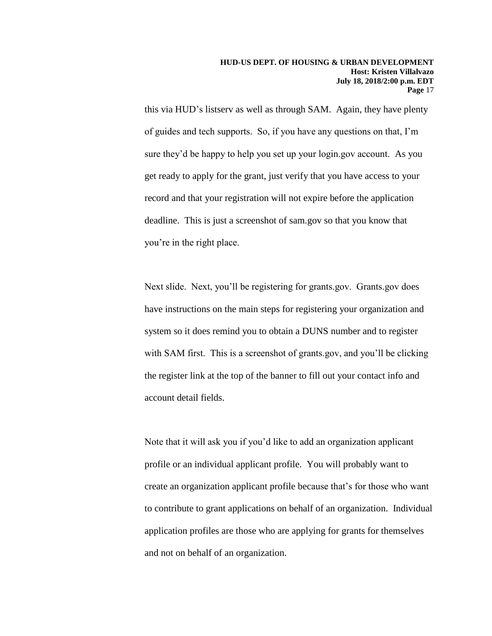this via HUD's listserv as well as through SAM. Again, they have plenty of guides and tech supports. So, if you have any questions on that, I'm sure they'd be happy to help you set up your login.gov account. As you get ready to apply for the grant, just verify that you have access to your record and that your registration will not expire before the application deadline. This is just a screenshot of sam.gov so that you know that you're in the right place.

Next slide. Next, you'll be registering for grants.gov. Grants.gov does have instructions on the main steps for registering your organization and system so it does remind you to obtain a DUNS number and to register with SAM first. This is a screenshot of grants.gov, and you'll be clicking the register link at the top of the banner to fill out your contact info and account detail fields.

Note that it will ask you if you'd like to add an organization applicant profile or an individual applicant profile. You will probably want to create an organization applicant profile because that's for those who want to contribute to grant applications on behalf of an organization. Individual application profiles are those who are applying for grants for themselves and not on behalf of an organization.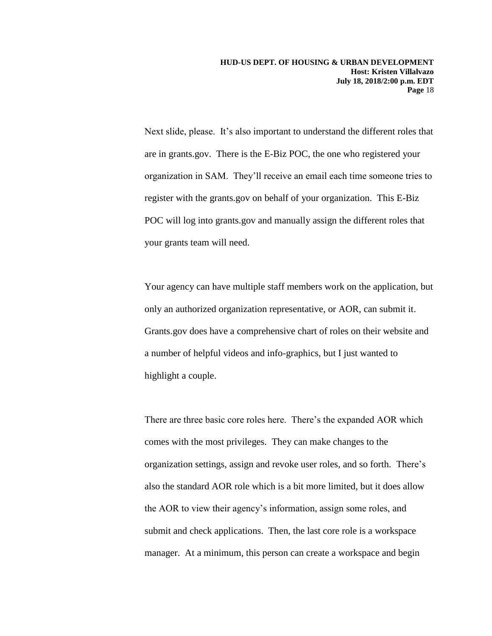Next slide, please. It's also important to understand the different roles that are in grants.gov. There is the E-Biz POC, the one who registered your organization in SAM. They'll receive an email each time someone tries to register with the grants.gov on behalf of your organization. This E-Biz POC will log into grants.gov and manually assign the different roles that your grants team will need.

Your agency can have multiple staff members work on the application, but only an authorized organization representative, or AOR, can submit it. Grants.gov does have a comprehensive chart of roles on their website and a number of helpful videos and info-graphics, but I just wanted to highlight a couple.

There are three basic core roles here. There's the expanded AOR which comes with the most privileges. They can make changes to the organization settings, assign and revoke user roles, and so forth. There's also the standard AOR role which is a bit more limited, but it does allow the AOR to view their agency's information, assign some roles, and submit and check applications. Then, the last core role is a workspace manager. At a minimum, this person can create a workspace and begin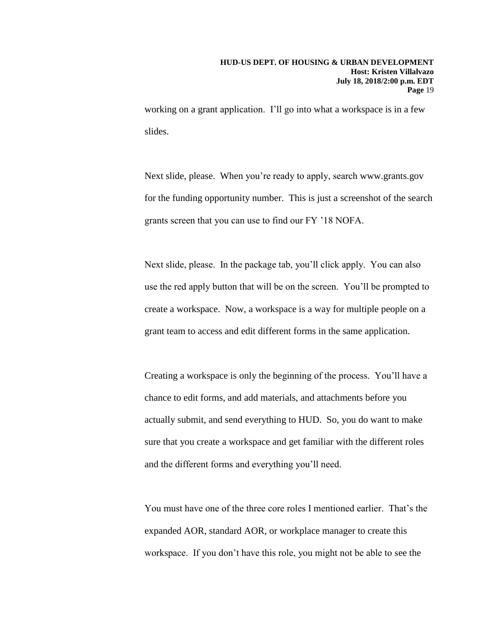working on a grant application. I'll go into what a workspace is in a few slides.

Next slide, please. When you're ready to apply, search www.grants.gov for the funding opportunity number. This is just a screenshot of the search grants screen that you can use to find our FY '18 NOFA.

Next slide, please. In the package tab, you'll click apply. You can also use the red apply button that will be on the screen. You'll be prompted to create a workspace. Now, a workspace is a way for multiple people on a grant team to access and edit different forms in the same application.

Creating a workspace is only the beginning of the process. You'll have a chance to edit forms, and add materials, and attachments before you actually submit, and send everything to HUD. So, you do want to make sure that you create a workspace and get familiar with the different roles and the different forms and everything you'll need.

You must have one of the three core roles I mentioned earlier. That's the expanded AOR, standard AOR, or workplace manager to create this workspace. If you don't have this role, you might not be able to see the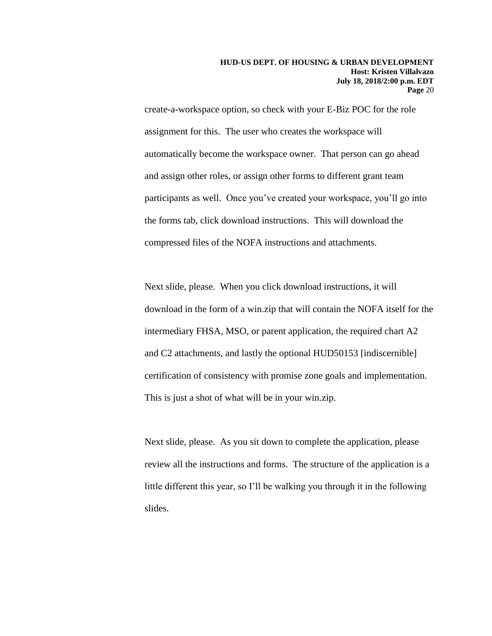create-a-workspace option, so check with your E-Biz POC for the role assignment for this. The user who creates the workspace will automatically become the workspace owner. That person can go ahead and assign other roles, or assign other forms to different grant team participants as well. Once you've created your workspace, you'll go into the forms tab, click download instructions. This will download the compressed files of the NOFA instructions and attachments.

Next slide, please. When you click download instructions, it will download in the form of a win.zip that will contain the NOFA itself for the intermediary FHSA, MSO, or parent application, the required chart A2 and C2 attachments, and lastly the optional HUD50153 [indiscernible] certification of consistency with promise zone goals and implementation. This is just a shot of what will be in your win.zip.

Next slide, please. As you sit down to complete the application, please review all the instructions and forms. The structure of the application is a little different this year, so I'll be walking you through it in the following slides.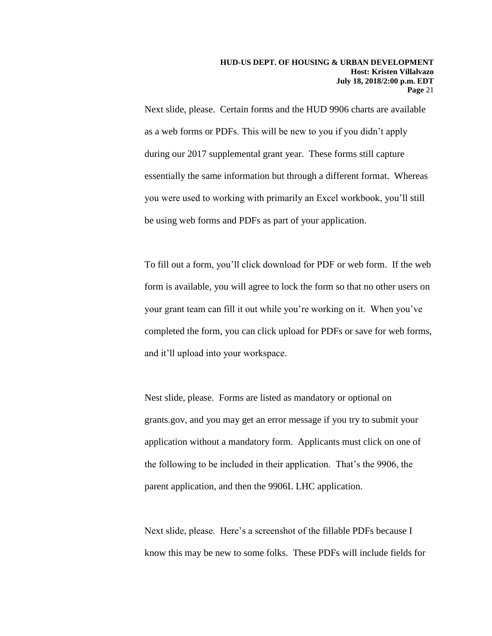Next slide, please. Certain forms and the HUD 9906 charts are available as a web forms or PDFs. This will be new to you if you didn't apply during our 2017 supplemental grant year. These forms still capture essentially the same information but through a different format. Whereas you were used to working with primarily an Excel workbook, you'll still be using web forms and PDFs as part of your application.

To fill out a form, you'll click download for PDF or web form. If the web form is available, you will agree to lock the form so that no other users on your grant team can fill it out while you're working on it. When you've completed the form, you can click upload for PDFs or save for web forms, and it'll upload into your workspace.

Nest slide, please. Forms are listed as mandatory or optional on grants.gov, and you may get an error message if you try to submit your application without a mandatory form. Applicants must click on one of the following to be included in their application. That's the 9906, the parent application, and then the 9906L LHC application.

Next slide, please. Here's a screenshot of the fillable PDFs because I know this may be new to some folks. These PDFs will include fields for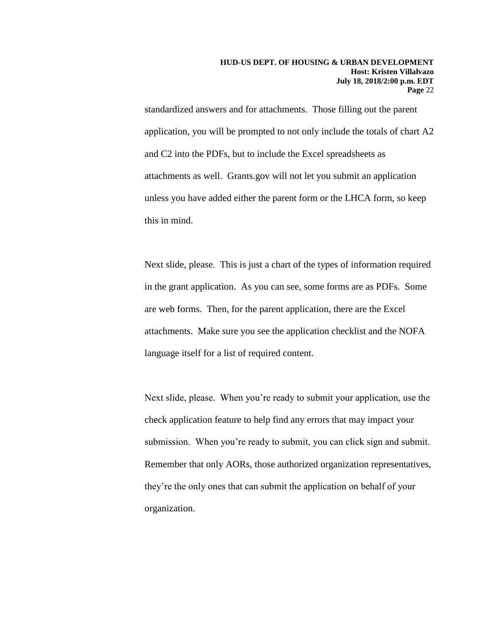standardized answers and for attachments. Those filling out the parent application, you will be prompted to not only include the totals of chart A2 and C2 into the PDFs, but to include the Excel spreadsheets as attachments as well. Grants.gov will not let you submit an application unless you have added either the parent form or the LHCA form, so keep this in mind.

Next slide, please. This is just a chart of the types of information required in the grant application. As you can see, some forms are as PDFs. Some are web forms. Then, for the parent application, there are the Excel attachments. Make sure you see the application checklist and the NOFA language itself for a list of required content.

Next slide, please. When you're ready to submit your application, use the check application feature to help find any errors that may impact your submission. When you're ready to submit, you can click sign and submit. Remember that only AORs, those authorized organization representatives, they're the only ones that can submit the application on behalf of your organization.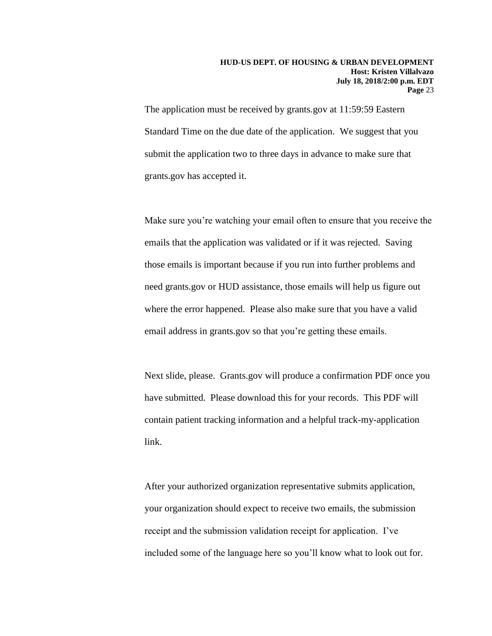#### **HUD-US DEPT. OF HOUSING & URBAN DEVELOPMENT Host: Kristen Villalvazo July 18, 2018/2:00 p.m. EDT Page** 23

The application must be received by grants.gov at 11:59:59 Eastern Standard Time on the due date of the application. We suggest that you submit the application two to three days in advance to make sure that grants.gov has accepted it.

Make sure you're watching your email often to ensure that you receive the emails that the application was validated or if it was rejected. Saving those emails is important because if you run into further problems and need grants.gov or HUD assistance, those emails will help us figure out where the error happened. Please also make sure that you have a valid email address in grants.gov so that you're getting these emails.

Next slide, please. Grants.gov will produce a confirmation PDF once you have submitted. Please download this for your records. This PDF will contain patient tracking information and a helpful track-my-application link.

After your authorized organization representative submits application, your organization should expect to receive two emails, the submission receipt and the submission validation receipt for application. I've included some of the language here so you'll know what to look out for.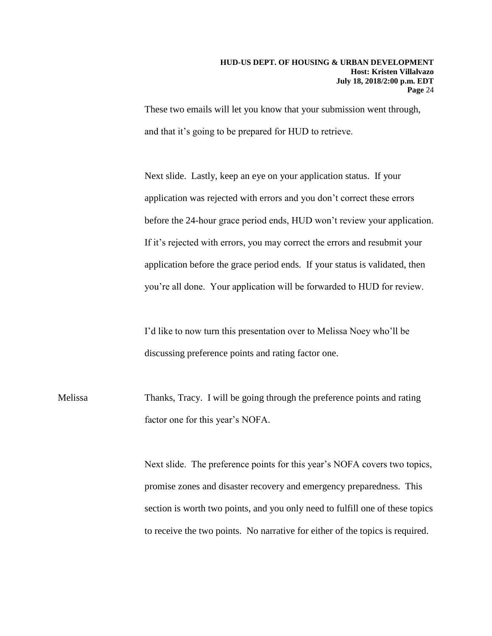These two emails will let you know that your submission went through, and that it's going to be prepared for HUD to retrieve.

Next slide. Lastly, keep an eye on your application status. If your application was rejected with errors and you don't correct these errors before the 24-hour grace period ends, HUD won't review your application. If it's rejected with errors, you may correct the errors and resubmit your application before the grace period ends. If your status is validated, then you're all done. Your application will be forwarded to HUD for review.

I'd like to now turn this presentation over to Melissa Noey who'll be discussing preference points and rating factor one.

Melissa Thanks, Tracy. I will be going through the preference points and rating factor one for this year's NOFA.

> Next slide. The preference points for this year's NOFA covers two topics, promise zones and disaster recovery and emergency preparedness. This section is worth two points, and you only need to fulfill one of these topics to receive the two points. No narrative for either of the topics is required.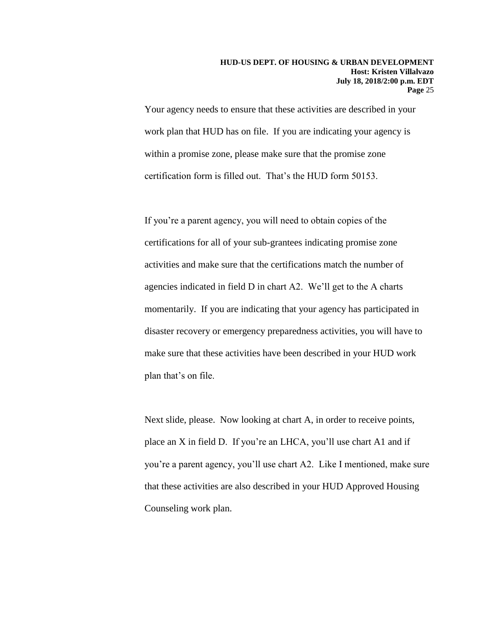Your agency needs to ensure that these activities are described in your work plan that HUD has on file. If you are indicating your agency is within a promise zone, please make sure that the promise zone certification form is filled out. That's the HUD form 50153.

If you're a parent agency, you will need to obtain copies of the certifications for all of your sub-grantees indicating promise zone activities and make sure that the certifications match the number of agencies indicated in field D in chart A2. We'll get to the A charts momentarily. If you are indicating that your agency has participated in disaster recovery or emergency preparedness activities, you will have to make sure that these activities have been described in your HUD work plan that's on file.

Next slide, please. Now looking at chart A, in order to receive points, place an X in field D. If you're an LHCA, you'll use chart A1 and if you're a parent agency, you'll use chart A2. Like I mentioned, make sure that these activities are also described in your HUD Approved Housing Counseling work plan.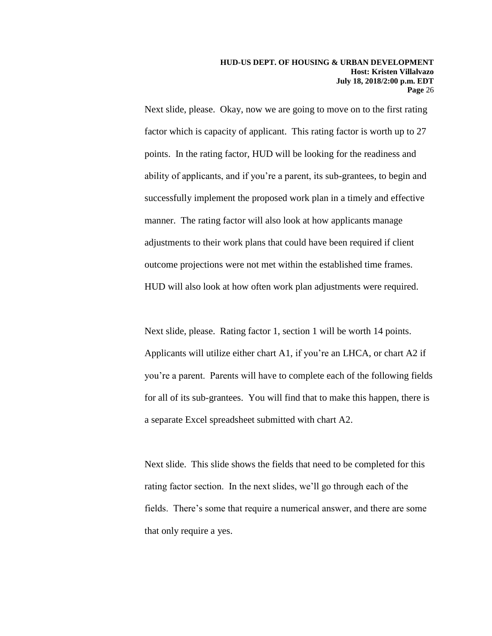Next slide, please. Okay, now we are going to move on to the first rating factor which is capacity of applicant. This rating factor is worth up to 27 points. In the rating factor, HUD will be looking for the readiness and ability of applicants, and if you're a parent, its sub-grantees, to begin and successfully implement the proposed work plan in a timely and effective manner. The rating factor will also look at how applicants manage adjustments to their work plans that could have been required if client outcome projections were not met within the established time frames. HUD will also look at how often work plan adjustments were required.

Next slide, please. Rating factor 1, section 1 will be worth 14 points. Applicants will utilize either chart A1, if you're an LHCA, or chart A2 if you're a parent. Parents will have to complete each of the following fields for all of its sub-grantees. You will find that to make this happen, there is a separate Excel spreadsheet submitted with chart A2.

Next slide. This slide shows the fields that need to be completed for this rating factor section. In the next slides, we'll go through each of the fields. There's some that require a numerical answer, and there are some that only require a yes.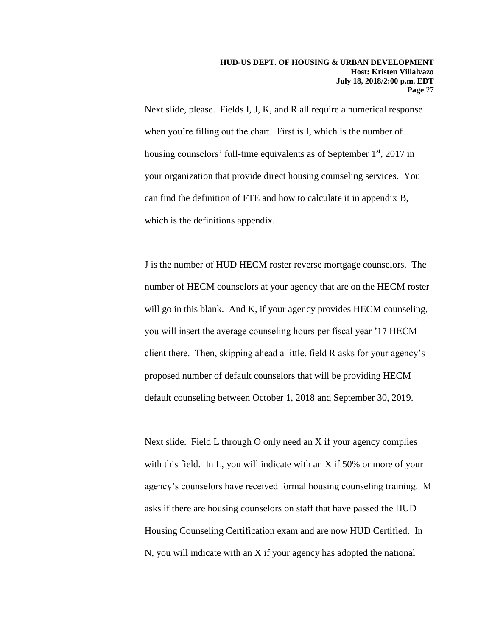Next slide, please. Fields I, J, K, and R all require a numerical response when you're filling out the chart. First is I, which is the number of housing counselors' full-time equivalents as of September 1<sup>st</sup>, 2017 in your organization that provide direct housing counseling services. You can find the definition of FTE and how to calculate it in appendix B, which is the definitions appendix.

J is the number of HUD HECM roster reverse mortgage counselors. The number of HECM counselors at your agency that are on the HECM roster will go in this blank. And K, if your agency provides HECM counseling, you will insert the average counseling hours per fiscal year '17 HECM client there. Then, skipping ahead a little, field R asks for your agency's proposed number of default counselors that will be providing HECM default counseling between October 1, 2018 and September 30, 2019.

Next slide. Field L through O only need an X if your agency complies with this field. In L, you will indicate with an X if 50% or more of your agency's counselors have received formal housing counseling training. M asks if there are housing counselors on staff that have passed the HUD Housing Counseling Certification exam and are now HUD Certified. In N, you will indicate with an X if your agency has adopted the national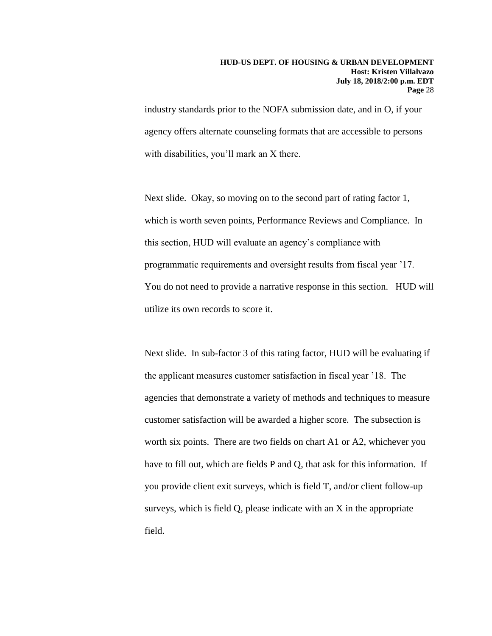industry standards prior to the NOFA submission date, and in O, if your agency offers alternate counseling formats that are accessible to persons with disabilities, you'll mark an X there.

Next slide. Okay, so moving on to the second part of rating factor 1, which is worth seven points, Performance Reviews and Compliance. In this section, HUD will evaluate an agency's compliance with programmatic requirements and oversight results from fiscal year '17. You do not need to provide a narrative response in this section. HUD will utilize its own records to score it.

Next slide. In sub-factor 3 of this rating factor, HUD will be evaluating if the applicant measures customer satisfaction in fiscal year '18. The agencies that demonstrate a variety of methods and techniques to measure customer satisfaction will be awarded a higher score. The subsection is worth six points. There are two fields on chart A1 or A2, whichever you have to fill out, which are fields P and Q, that ask for this information. If you provide client exit surveys, which is field T, and/or client follow-up surveys, which is field Q, please indicate with an X in the appropriate field.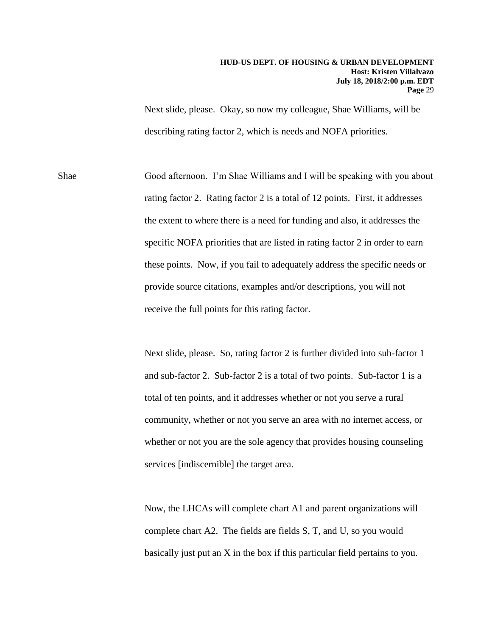Next slide, please. Okay, so now my colleague, Shae Williams, will be describing rating factor 2, which is needs and NOFA priorities.

Shae Good afternoon. I'm Shae Williams and I will be speaking with you about rating factor 2. Rating factor 2 is a total of 12 points. First, it addresses the extent to where there is a need for funding and also, it addresses the specific NOFA priorities that are listed in rating factor 2 in order to earn these points. Now, if you fail to adequately address the specific needs or provide source citations, examples and/or descriptions, you will not receive the full points for this rating factor.

> Next slide, please. So, rating factor 2 is further divided into sub-factor 1 and sub-factor 2. Sub-factor 2 is a total of two points. Sub-factor 1 is a total of ten points, and it addresses whether or not you serve a rural community, whether or not you serve an area with no internet access, or whether or not you are the sole agency that provides housing counseling services [indiscernible] the target area.

Now, the LHCAs will complete chart A1 and parent organizations will complete chart A2. The fields are fields S, T, and U, so you would basically just put an X in the box if this particular field pertains to you.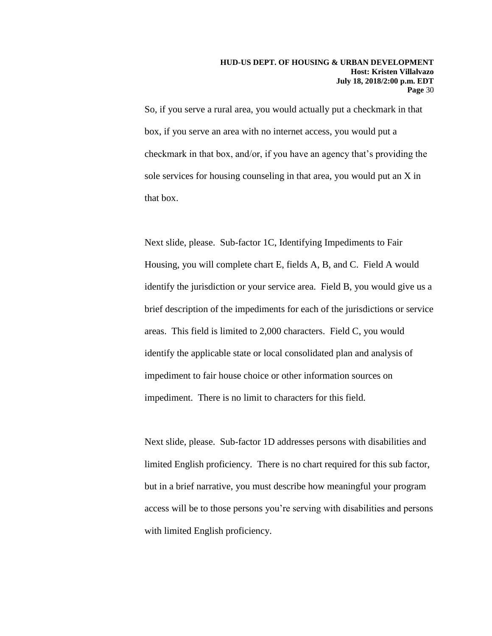So, if you serve a rural area, you would actually put a checkmark in that box, if you serve an area with no internet access, you would put a checkmark in that box, and/or, if you have an agency that's providing the sole services for housing counseling in that area, you would put an X in that box.

Next slide, please. Sub-factor 1C, Identifying Impediments to Fair Housing, you will complete chart E, fields A, B, and C. Field A would identify the jurisdiction or your service area. Field B, you would give us a brief description of the impediments for each of the jurisdictions or service areas. This field is limited to 2,000 characters. Field C, you would identify the applicable state or local consolidated plan and analysis of impediment to fair house choice or other information sources on impediment. There is no limit to characters for this field.

Next slide, please. Sub-factor 1D addresses persons with disabilities and limited English proficiency. There is no chart required for this sub factor, but in a brief narrative, you must describe how meaningful your program access will be to those persons you're serving with disabilities and persons with limited English proficiency.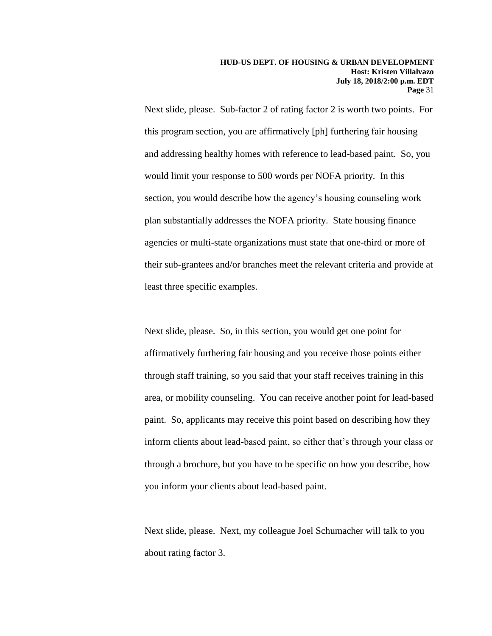Next slide, please. Sub-factor 2 of rating factor 2 is worth two points. For this program section, you are affirmatively [ph] furthering fair housing and addressing healthy homes with reference to lead-based paint. So, you would limit your response to 500 words per NOFA priority. In this section, you would describe how the agency's housing counseling work plan substantially addresses the NOFA priority. State housing finance agencies or multi-state organizations must state that one-third or more of their sub-grantees and/or branches meet the relevant criteria and provide at least three specific examples.

Next slide, please. So, in this section, you would get one point for affirmatively furthering fair housing and you receive those points either through staff training, so you said that your staff receives training in this area, or mobility counseling. You can receive another point for lead-based paint. So, applicants may receive this point based on describing how they inform clients about lead-based paint, so either that's through your class or through a brochure, but you have to be specific on how you describe, how you inform your clients about lead-based paint.

Next slide, please. Next, my colleague Joel Schumacher will talk to you about rating factor 3.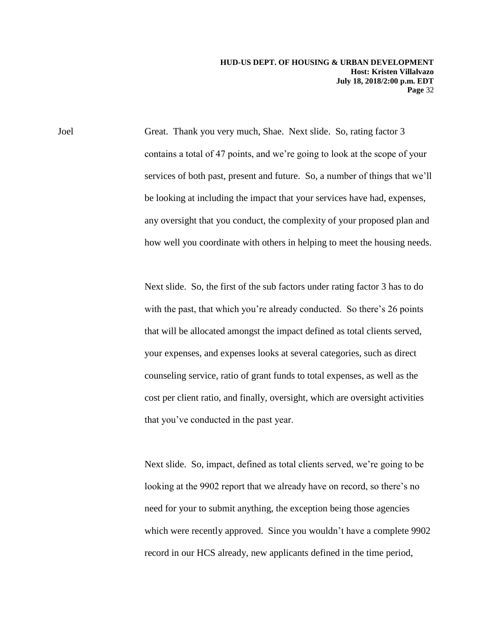**HUD-US DEPT. OF HOUSING & URBAN DEVELOPMENT Host: Kristen Villalvazo July 18, 2018/2:00 p.m. EDT Page** 32

Joel Great. Thank you very much, Shae. Next slide. So, rating factor 3 contains a total of 47 points, and we're going to look at the scope of your services of both past, present and future. So, a number of things that we'll be looking at including the impact that your services have had, expenses, any oversight that you conduct, the complexity of your proposed plan and how well you coordinate with others in helping to meet the housing needs.

> Next slide. So, the first of the sub factors under rating factor 3 has to do with the past, that which you're already conducted. So there's 26 points that will be allocated amongst the impact defined as total clients served, your expenses, and expenses looks at several categories, such as direct counseling service, ratio of grant funds to total expenses, as well as the cost per client ratio, and finally, oversight, which are oversight activities that you've conducted in the past year.

Next slide. So, impact, defined as total clients served, we're going to be looking at the 9902 report that we already have on record, so there's no need for your to submit anything, the exception being those agencies which were recently approved. Since you wouldn't have a complete 9902 record in our HCS already, new applicants defined in the time period,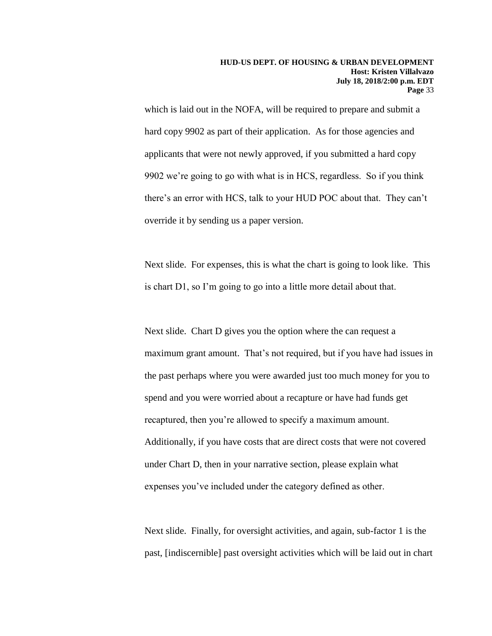which is laid out in the NOFA, will be required to prepare and submit a hard copy 9902 as part of their application. As for those agencies and applicants that were not newly approved, if you submitted a hard copy 9902 we're going to go with what is in HCS, regardless. So if you think there's an error with HCS, talk to your HUD POC about that. They can't override it by sending us a paper version.

Next slide. For expenses, this is what the chart is going to look like. This is chart D1, so I'm going to go into a little more detail about that.

Next slide. Chart D gives you the option where the can request a maximum grant amount. That's not required, but if you have had issues in the past perhaps where you were awarded just too much money for you to spend and you were worried about a recapture or have had funds get recaptured, then you're allowed to specify a maximum amount. Additionally, if you have costs that are direct costs that were not covered under Chart D, then in your narrative section, please explain what expenses you've included under the category defined as other.

Next slide. Finally, for oversight activities, and again, sub-factor 1 is the past, [indiscernible] past oversight activities which will be laid out in chart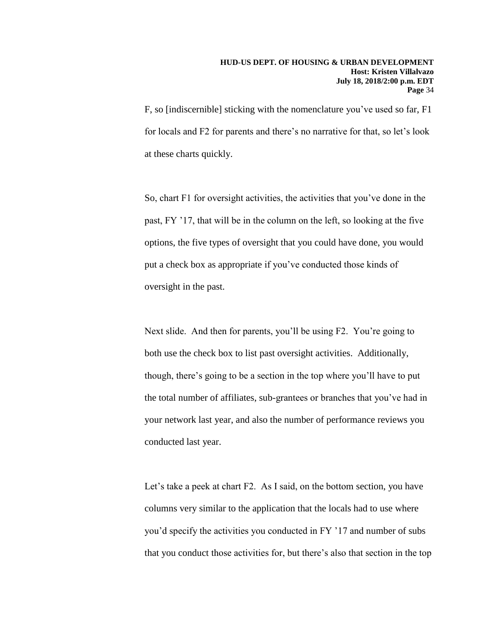F, so [indiscernible] sticking with the nomenclature you've used so far, F1 for locals and F2 for parents and there's no narrative for that, so let's look at these charts quickly.

So, chart F1 for oversight activities, the activities that you've done in the past, FY '17, that will be in the column on the left, so looking at the five options, the five types of oversight that you could have done, you would put a check box as appropriate if you've conducted those kinds of oversight in the past.

Next slide. And then for parents, you'll be using F2. You're going to both use the check box to list past oversight activities. Additionally, though, there's going to be a section in the top where you'll have to put the total number of affiliates, sub-grantees or branches that you've had in your network last year, and also the number of performance reviews you conducted last year.

Let's take a peek at chart F2. As I said, on the bottom section, you have columns very similar to the application that the locals had to use where you'd specify the activities you conducted in FY '17 and number of subs that you conduct those activities for, but there's also that section in the top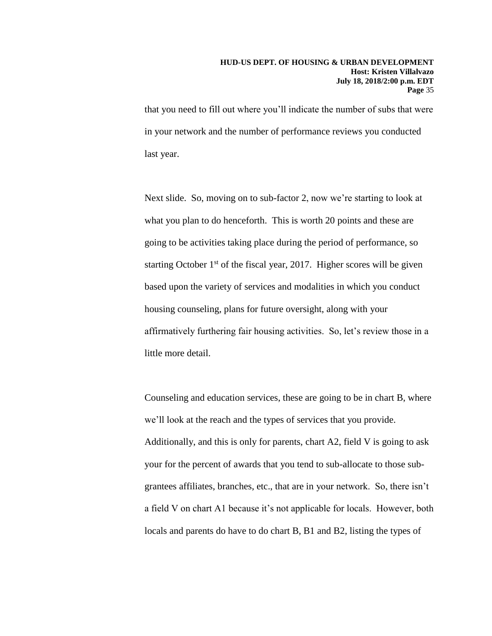#### **HUD-US DEPT. OF HOUSING & URBAN DEVELOPMENT Host: Kristen Villalvazo July 18, 2018/2:00 p.m. EDT Page** 35

that you need to fill out where you'll indicate the number of subs that were in your network and the number of performance reviews you conducted last year.

Next slide. So, moving on to sub-factor 2, now we're starting to look at what you plan to do henceforth. This is worth 20 points and these are going to be activities taking place during the period of performance, so starting October  $1<sup>st</sup>$  of the fiscal year, 2017. Higher scores will be given based upon the variety of services and modalities in which you conduct housing counseling, plans for future oversight, along with your affirmatively furthering fair housing activities. So, let's review those in a little more detail.

Counseling and education services, these are going to be in chart B, where we'll look at the reach and the types of services that you provide. Additionally, and this is only for parents, chart A2, field V is going to ask your for the percent of awards that you tend to sub-allocate to those subgrantees affiliates, branches, etc., that are in your network. So, there isn't a field V on chart A1 because it's not applicable for locals. However, both locals and parents do have to do chart B, B1 and B2, listing the types of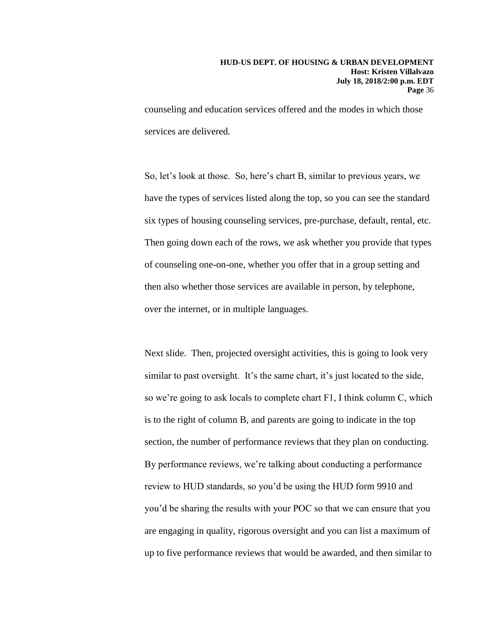counseling and education services offered and the modes in which those services are delivered.

So, let's look at those. So, here's chart B, similar to previous years, we have the types of services listed along the top, so you can see the standard six types of housing counseling services, pre-purchase, default, rental, etc. Then going down each of the rows, we ask whether you provide that types of counseling one-on-one, whether you offer that in a group setting and then also whether those services are available in person, by telephone, over the internet, or in multiple languages.

Next slide. Then, projected oversight activities, this is going to look very similar to past oversight. It's the same chart, it's just located to the side, so we're going to ask locals to complete chart F1, I think column C, which is to the right of column B, and parents are going to indicate in the top section, the number of performance reviews that they plan on conducting. By performance reviews, we're talking about conducting a performance review to HUD standards, so you'd be using the HUD form 9910 and you'd be sharing the results with your POC so that we can ensure that you are engaging in quality, rigorous oversight and you can list a maximum of up to five performance reviews that would be awarded, and then similar to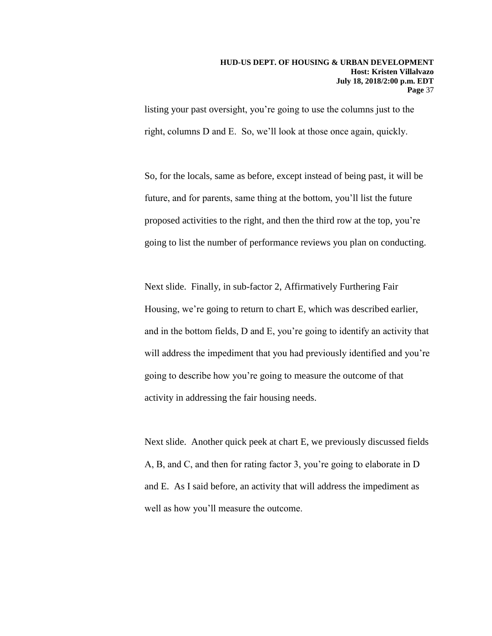listing your past oversight, you're going to use the columns just to the right, columns D and E. So, we'll look at those once again, quickly.

So, for the locals, same as before, except instead of being past, it will be future, and for parents, same thing at the bottom, you'll list the future proposed activities to the right, and then the third row at the top, you're going to list the number of performance reviews you plan on conducting.

Next slide. Finally, in sub-factor 2, Affirmatively Furthering Fair Housing, we're going to return to chart E, which was described earlier, and in the bottom fields, D and E, you're going to identify an activity that will address the impediment that you had previously identified and you're going to describe how you're going to measure the outcome of that activity in addressing the fair housing needs.

Next slide. Another quick peek at chart E, we previously discussed fields A, B, and C, and then for rating factor 3, you're going to elaborate in D and E. As I said before, an activity that will address the impediment as well as how you'll measure the outcome.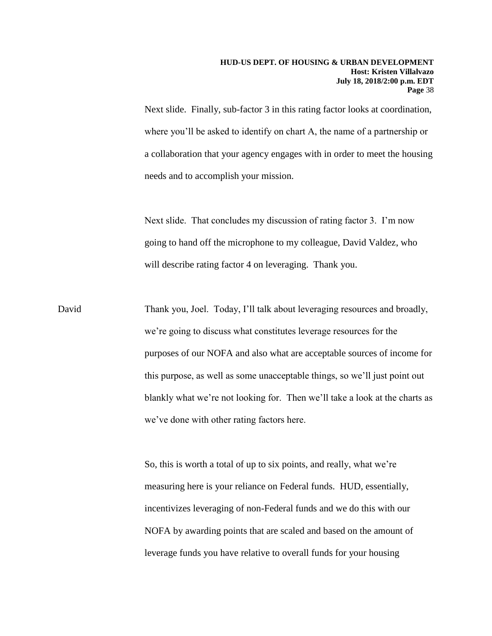#### **HUD-US DEPT. OF HOUSING & URBAN DEVELOPMENT Host: Kristen Villalvazo July 18, 2018/2:00 p.m. EDT Page** 38

Next slide. Finally, sub-factor 3 in this rating factor looks at coordination, where you'll be asked to identify on chart A, the name of a partnership or a collaboration that your agency engages with in order to meet the housing needs and to accomplish your mission.

Next slide. That concludes my discussion of rating factor 3. I'm now going to hand off the microphone to my colleague, David Valdez, who will describe rating factor 4 on leveraging. Thank you.

David Thank you, Joel. Today, I'll talk about leveraging resources and broadly, we're going to discuss what constitutes leverage resources for the purposes of our NOFA and also what are acceptable sources of income for this purpose, as well as some unacceptable things, so we'll just point out blankly what we're not looking for. Then we'll take a look at the charts as we've done with other rating factors here.

> So, this is worth a total of up to six points, and really, what we're measuring here is your reliance on Federal funds. HUD, essentially, incentivizes leveraging of non-Federal funds and we do this with our NOFA by awarding points that are scaled and based on the amount of leverage funds you have relative to overall funds for your housing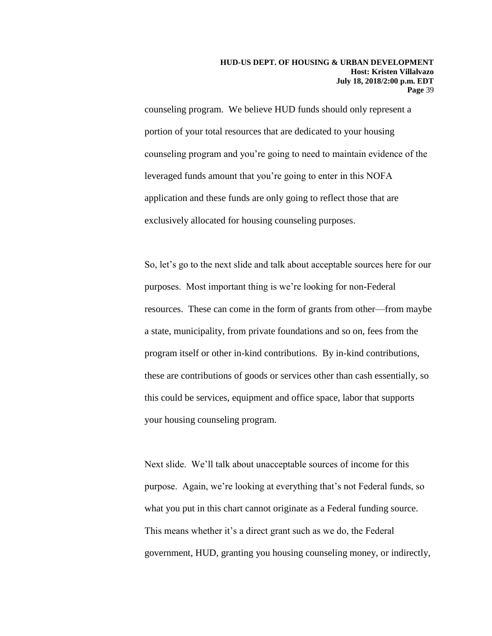counseling program. We believe HUD funds should only represent a portion of your total resources that are dedicated to your housing counseling program and you're going to need to maintain evidence of the leveraged funds amount that you're going to enter in this NOFA application and these funds are only going to reflect those that are exclusively allocated for housing counseling purposes.

So, let's go to the next slide and talk about acceptable sources here for our purposes. Most important thing is we're looking for non-Federal resources. These can come in the form of grants from other—from maybe a state, municipality, from private foundations and so on, fees from the program itself or other in-kind contributions. By in-kind contributions, these are contributions of goods or services other than cash essentially, so this could be services, equipment and office space, labor that supports your housing counseling program.

Next slide. We'll talk about unacceptable sources of income for this purpose. Again, we're looking at everything that's not Federal funds, so what you put in this chart cannot originate as a Federal funding source. This means whether it's a direct grant such as we do, the Federal government, HUD, granting you housing counseling money, or indirectly,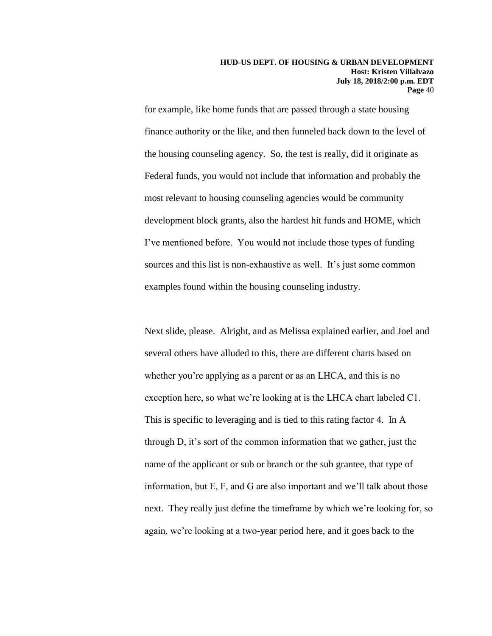for example, like home funds that are passed through a state housing finance authority or the like, and then funneled back down to the level of the housing counseling agency. So, the test is really, did it originate as Federal funds, you would not include that information and probably the most relevant to housing counseling agencies would be community development block grants, also the hardest hit funds and HOME, which I've mentioned before. You would not include those types of funding sources and this list is non-exhaustive as well. It's just some common examples found within the housing counseling industry.

Next slide, please. Alright, and as Melissa explained earlier, and Joel and several others have alluded to this, there are different charts based on whether you're applying as a parent or as an LHCA, and this is no exception here, so what we're looking at is the LHCA chart labeled C1. This is specific to leveraging and is tied to this rating factor 4. In A through D, it's sort of the common information that we gather, just the name of the applicant or sub or branch or the sub grantee, that type of information, but E, F, and G are also important and we'll talk about those next. They really just define the timeframe by which we're looking for, so again, we're looking at a two-year period here, and it goes back to the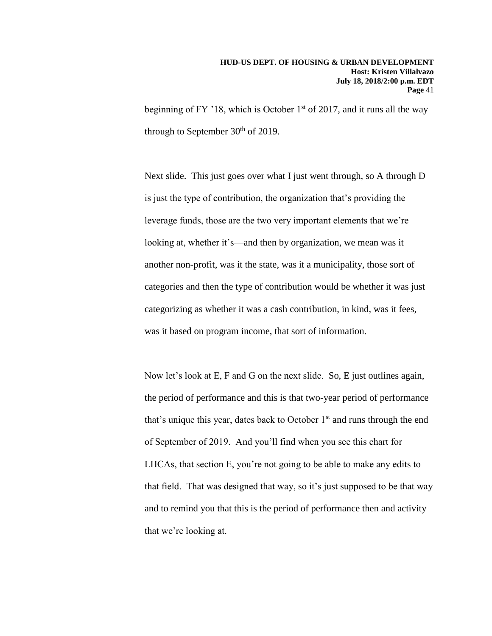beginning of FY '18, which is October  $1<sup>st</sup>$  of 2017, and it runs all the way through to September  $30<sup>th</sup>$  of 2019.

Next slide. This just goes over what I just went through, so A through D is just the type of contribution, the organization that's providing the leverage funds, those are the two very important elements that we're looking at, whether it's—and then by organization, we mean was it another non-profit, was it the state, was it a municipality, those sort of categories and then the type of contribution would be whether it was just categorizing as whether it was a cash contribution, in kind, was it fees, was it based on program income, that sort of information.

Now let's look at E, F and G on the next slide. So, E just outlines again, the period of performance and this is that two-year period of performance that's unique this year, dates back to October 1<sup>st</sup> and runs through the end of September of 2019. And you'll find when you see this chart for LHCAs, that section E, you're not going to be able to make any edits to that field. That was designed that way, so it's just supposed to be that way and to remind you that this is the period of performance then and activity that we're looking at.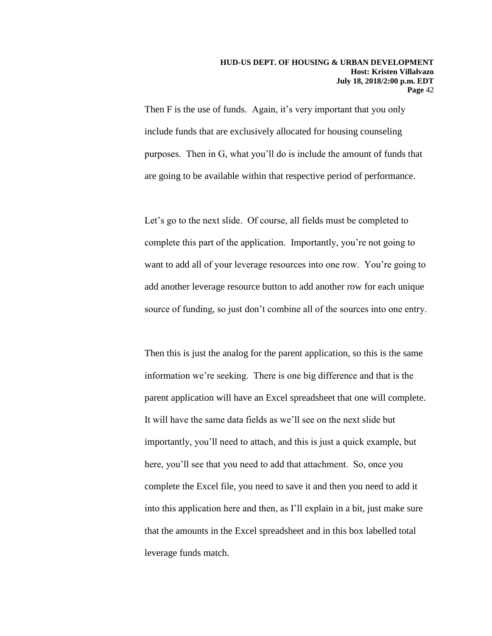Then F is the use of funds. Again, it's very important that you only include funds that are exclusively allocated for housing counseling purposes. Then in G, what you'll do is include the amount of funds that are going to be available within that respective period of performance.

Let's go to the next slide. Of course, all fields must be completed to complete this part of the application. Importantly, you're not going to want to add all of your leverage resources into one row. You're going to add another leverage resource button to add another row for each unique source of funding, so just don't combine all of the sources into one entry.

Then this is just the analog for the parent application, so this is the same information we're seeking. There is one big difference and that is the parent application will have an Excel spreadsheet that one will complete. It will have the same data fields as we'll see on the next slide but importantly, you'll need to attach, and this is just a quick example, but here, you'll see that you need to add that attachment. So, once you complete the Excel file, you need to save it and then you need to add it into this application here and then, as I'll explain in a bit, just make sure that the amounts in the Excel spreadsheet and in this box labelled total leverage funds match.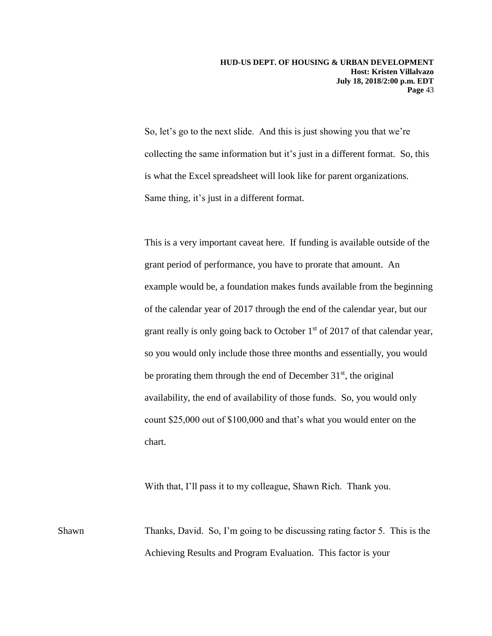So, let's go to the next slide. And this is just showing you that we're collecting the same information but it's just in a different format. So, this is what the Excel spreadsheet will look like for parent organizations. Same thing, it's just in a different format.

This is a very important caveat here. If funding is available outside of the grant period of performance, you have to prorate that amount. An example would be, a foundation makes funds available from the beginning of the calendar year of 2017 through the end of the calendar year, but our grant really is only going back to October  $1<sup>st</sup>$  of 2017 of that calendar year, so you would only include those three months and essentially, you would be prorating them through the end of December  $31<sup>st</sup>$ , the original availability, the end of availability of those funds. So, you would only count \$25,000 out of \$100,000 and that's what you would enter on the chart.

With that, I'll pass it to my colleague, Shawn Rich. Thank you.

Shawn Thanks, David. So, I'm going to be discussing rating factor 5. This is the Achieving Results and Program Evaluation. This factor is your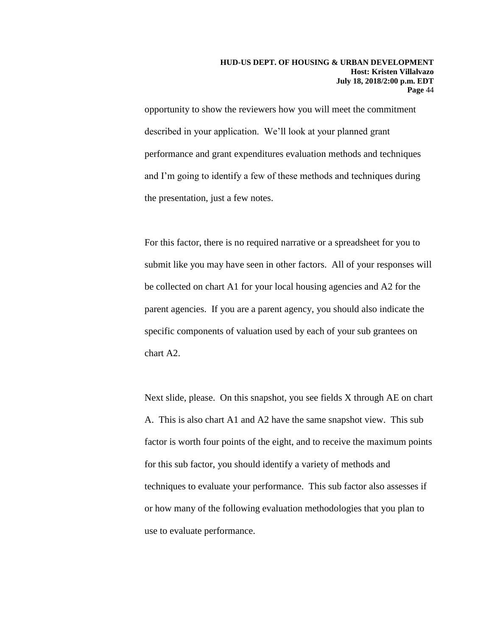opportunity to show the reviewers how you will meet the commitment described in your application. We'll look at your planned grant performance and grant expenditures evaluation methods and techniques and I'm going to identify a few of these methods and techniques during the presentation, just a few notes.

For this factor, there is no required narrative or a spreadsheet for you to submit like you may have seen in other factors. All of your responses will be collected on chart A1 for your local housing agencies and A2 for the parent agencies. If you are a parent agency, you should also indicate the specific components of valuation used by each of your sub grantees on chart A2.

Next slide, please. On this snapshot, you see fields X through AE on chart A. This is also chart A1 and A2 have the same snapshot view. This sub factor is worth four points of the eight, and to receive the maximum points for this sub factor, you should identify a variety of methods and techniques to evaluate your performance. This sub factor also assesses if or how many of the following evaluation methodologies that you plan to use to evaluate performance.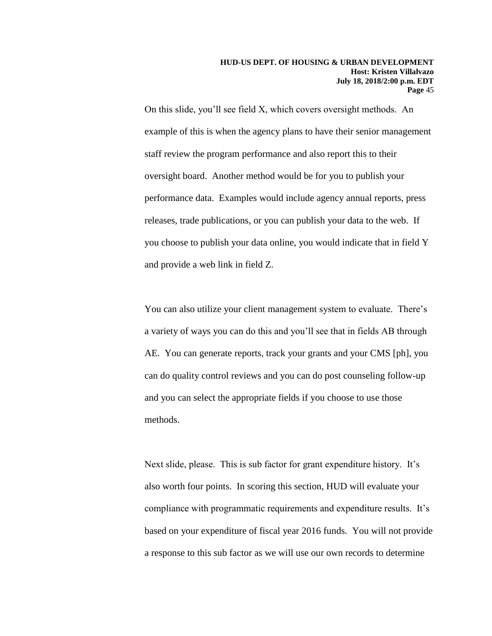On this slide, you'll see field X, which covers oversight methods. An example of this is when the agency plans to have their senior management staff review the program performance and also report this to their oversight board. Another method would be for you to publish your performance data. Examples would include agency annual reports, press releases, trade publications, or you can publish your data to the web. If you choose to publish your data online, you would indicate that in field Y and provide a web link in field Z.

You can also utilize your client management system to evaluate. There's a variety of ways you can do this and you'll see that in fields AB through AE. You can generate reports, track your grants and your CMS [ph], you can do quality control reviews and you can do post counseling follow-up and you can select the appropriate fields if you choose to use those methods.

Next slide, please. This is sub factor for grant expenditure history. It's also worth four points. In scoring this section, HUD will evaluate your compliance with programmatic requirements and expenditure results. It's based on your expenditure of fiscal year 2016 funds. You will not provide a response to this sub factor as we will use our own records to determine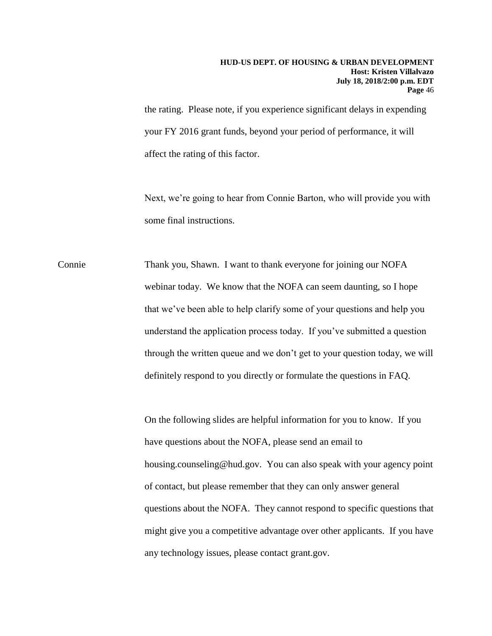the rating. Please note, if you experience significant delays in expending your FY 2016 grant funds, beyond your period of performance, it will affect the rating of this factor.

Next, we're going to hear from Connie Barton, who will provide you with some final instructions.

Connie Thank you, Shawn. I want to thank everyone for joining our NOFA webinar today. We know that the NOFA can seem daunting, so I hope that we've been able to help clarify some of your questions and help you understand the application process today. If you've submitted a question through the written queue and we don't get to your question today, we will definitely respond to you directly or formulate the questions in FAQ.

> On the following slides are helpful information for you to know. If you have questions about the NOFA, please send an email to housing.counseling@hud.gov. You can also speak with your agency point of contact, but please remember that they can only answer general questions about the NOFA. They cannot respond to specific questions that might give you a competitive advantage over other applicants. If you have any technology issues, please contact grant.gov.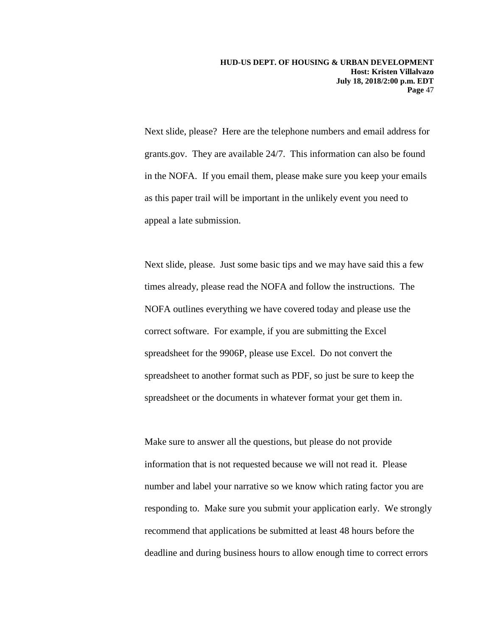Next slide, please? Here are the telephone numbers and email address for grants.gov. They are available 24/7. This information can also be found in the NOFA. If you email them, please make sure you keep your emails as this paper trail will be important in the unlikely event you need to appeal a late submission.

Next slide, please. Just some basic tips and we may have said this a few times already, please read the NOFA and follow the instructions. The NOFA outlines everything we have covered today and please use the correct software. For example, if you are submitting the Excel spreadsheet for the 9906P, please use Excel. Do not convert the spreadsheet to another format such as PDF, so just be sure to keep the spreadsheet or the documents in whatever format your get them in.

Make sure to answer all the questions, but please do not provide information that is not requested because we will not read it. Please number and label your narrative so we know which rating factor you are responding to. Make sure you submit your application early. We strongly recommend that applications be submitted at least 48 hours before the deadline and during business hours to allow enough time to correct errors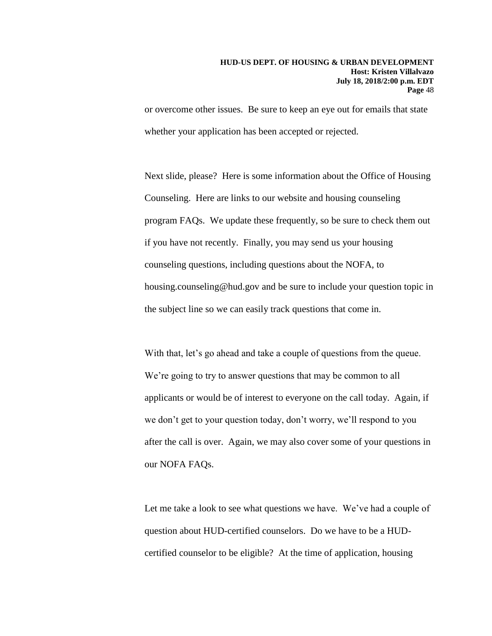or overcome other issues. Be sure to keep an eye out for emails that state whether your application has been accepted or rejected.

Next slide, please? Here is some information about the Office of Housing Counseling. Here are links to our website and housing counseling program FAQs. We update these frequently, so be sure to check them out if you have not recently. Finally, you may send us your housing counseling questions, including questions about the NOFA, to housing.counseling@hud.gov and be sure to include your question topic in the subject line so we can easily track questions that come in.

With that, let's go ahead and take a couple of questions from the queue. We're going to try to answer questions that may be common to all applicants or would be of interest to everyone on the call today. Again, if we don't get to your question today, don't worry, we'll respond to you after the call is over. Again, we may also cover some of your questions in our NOFA FAQs.

Let me take a look to see what questions we have. We've had a couple of question about HUD-certified counselors. Do we have to be a HUDcertified counselor to be eligible? At the time of application, housing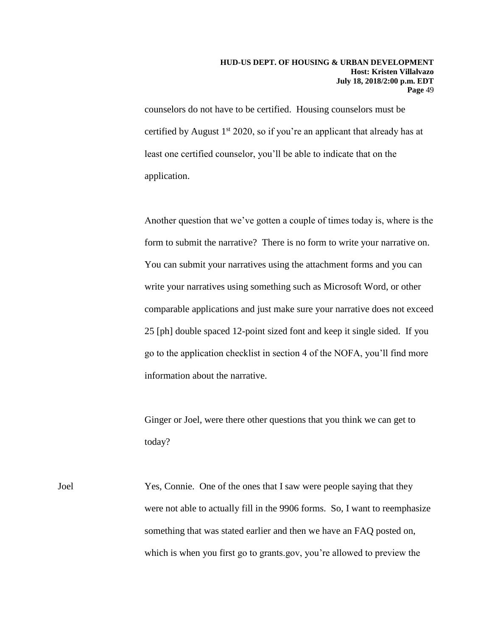#### **HUD-US DEPT. OF HOUSING & URBAN DEVELOPMENT Host: Kristen Villalvazo July 18, 2018/2:00 p.m. EDT Page** 49

counselors do not have to be certified. Housing counselors must be certified by August  $1<sup>st</sup> 2020$ , so if you're an applicant that already has at least one certified counselor, you'll be able to indicate that on the application.

Another question that we've gotten a couple of times today is, where is the form to submit the narrative? There is no form to write your narrative on. You can submit your narratives using the attachment forms and you can write your narratives using something such as Microsoft Word, or other comparable applications and just make sure your narrative does not exceed 25 [ph] double spaced 12-point sized font and keep it single sided. If you go to the application checklist in section 4 of the NOFA, you'll find more information about the narrative.

Ginger or Joel, were there other questions that you think we can get to today?

Joel Yes, Connie. One of the ones that I saw were people saying that they were not able to actually fill in the 9906 forms. So, I want to reemphasize something that was stated earlier and then we have an FAQ posted on, which is when you first go to grants.gov, you're allowed to preview the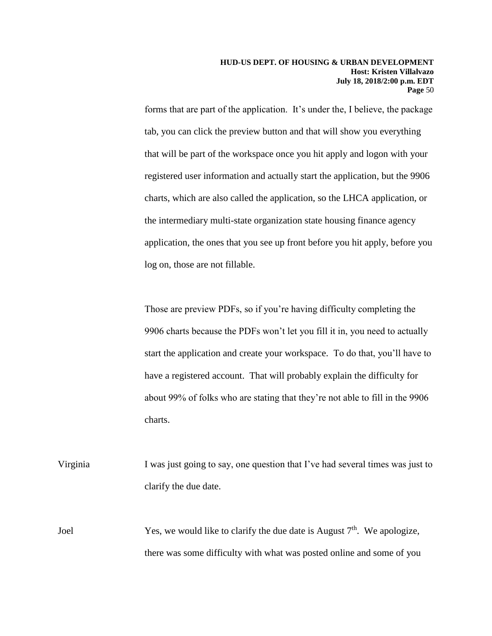forms that are part of the application. It's under the, I believe, the package tab, you can click the preview button and that will show you everything that will be part of the workspace once you hit apply and logon with your registered user information and actually start the application, but the 9906 charts, which are also called the application, so the LHCA application, or the intermediary multi-state organization state housing finance agency application, the ones that you see up front before you hit apply, before you log on, those are not fillable.

Those are preview PDFs, so if you're having difficulty completing the 9906 charts because the PDFs won't let you fill it in, you need to actually start the application and create your workspace. To do that, you'll have to have a registered account. That will probably explain the difficulty for about 99% of folks who are stating that they're not able to fill in the 9906 charts.

Virginia I was just going to say, one question that I've had several times was just to clarify the due date.

Joel Yes, we would like to clarify the due date is August  $7<sup>th</sup>$ . We apologize, there was some difficulty with what was posted online and some of you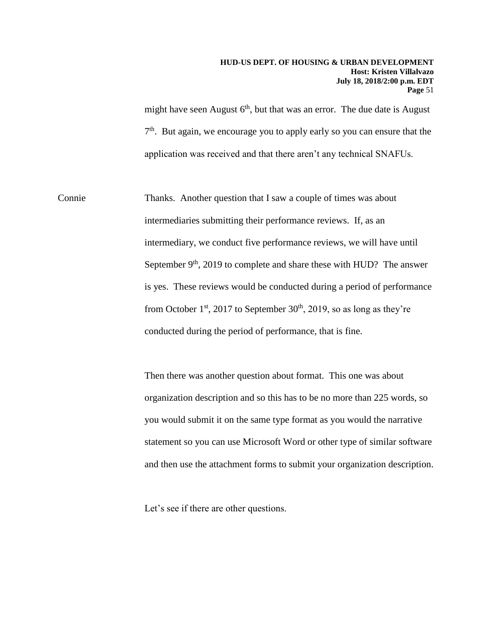#### **HUD-US DEPT. OF HOUSING & URBAN DEVELOPMENT Host: Kristen Villalvazo July 18, 2018/2:00 p.m. EDT Page** 51

might have seen August  $6<sup>th</sup>$ , but that was an error. The due date is August <sup>7th</sup>. But again, we encourage you to apply early so you can ensure that the application was received and that there aren't any technical SNAFUs.

Connie Thanks. Another question that I saw a couple of times was about intermediaries submitting their performance reviews. If, as an intermediary, we conduct five performance reviews, we will have until September  $9<sup>th</sup>$ , 2019 to complete and share these with HUD? The answer is yes. These reviews would be conducted during a period of performance from October  $1<sup>st</sup>$ , 2017 to September 30<sup>th</sup>, 2019, so as long as they're conducted during the period of performance, that is fine.

> Then there was another question about format. This one was about organization description and so this has to be no more than 225 words, so you would submit it on the same type format as you would the narrative statement so you can use Microsoft Word or other type of similar software and then use the attachment forms to submit your organization description.

Let's see if there are other questions.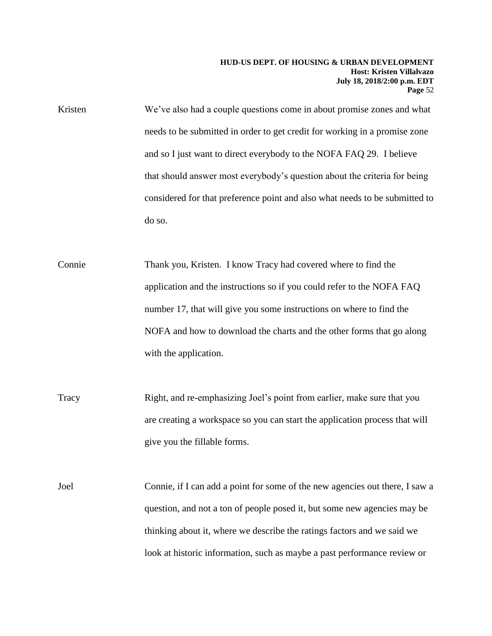#### **HUD-US DEPT. OF HOUSING & URBAN DEVELOPMENT Host: Kristen Villalvazo July 18, 2018/2:00 p.m. EDT Page** 52

- Kristen We've also had a couple questions come in about promise zones and what needs to be submitted in order to get credit for working in a promise zone and so I just want to direct everybody to the NOFA FAQ 29. I believe that should answer most everybody's question about the criteria for being considered for that preference point and also what needs to be submitted to do so.
- Connie Thank you, Kristen. I know Tracy had covered where to find the application and the instructions so if you could refer to the NOFA FAQ number 17, that will give you some instructions on where to find the NOFA and how to download the charts and the other forms that go along with the application.
- Tracy Right, and re-emphasizing Joel's point from earlier, make sure that you are creating a workspace so you can start the application process that will give you the fillable forms.
- Joel Connie, if I can add a point for some of the new agencies out there, I saw a question, and not a ton of people posed it, but some new agencies may be thinking about it, where we describe the ratings factors and we said we look at historic information, such as maybe a past performance review or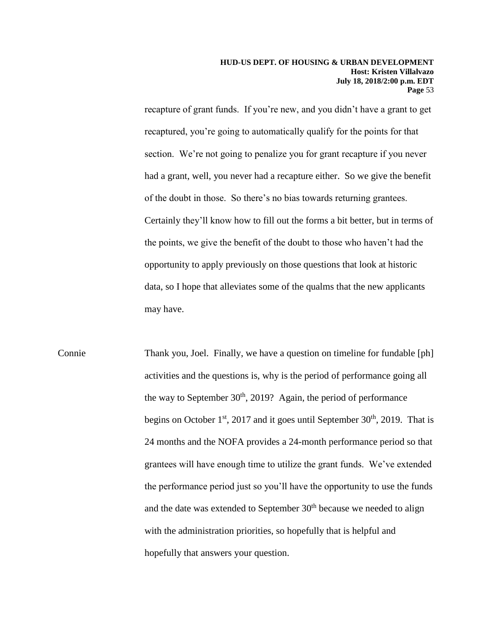recapture of grant funds. If you're new, and you didn't have a grant to get recaptured, you're going to automatically qualify for the points for that section. We're not going to penalize you for grant recapture if you never had a grant, well, you never had a recapture either. So we give the benefit of the doubt in those. So there's no bias towards returning grantees. Certainly they'll know how to fill out the forms a bit better, but in terms of the points, we give the benefit of the doubt to those who haven't had the opportunity to apply previously on those questions that look at historic data, so I hope that alleviates some of the qualms that the new applicants may have.

Connie Thank you, Joel. Finally, we have a question on timeline for fundable [ph] activities and the questions is, why is the period of performance going all the way to September  $30<sup>th</sup>$ ,  $2019$ ? Again, the period of performance begins on October  $1<sup>st</sup>$ , 2017 and it goes until September 30<sup>th</sup>, 2019. That is 24 months and the NOFA provides a 24-month performance period so that grantees will have enough time to utilize the grant funds. We've extended the performance period just so you'll have the opportunity to use the funds and the date was extended to September  $30<sup>th</sup>$  because we needed to align with the administration priorities, so hopefully that is helpful and hopefully that answers your question.